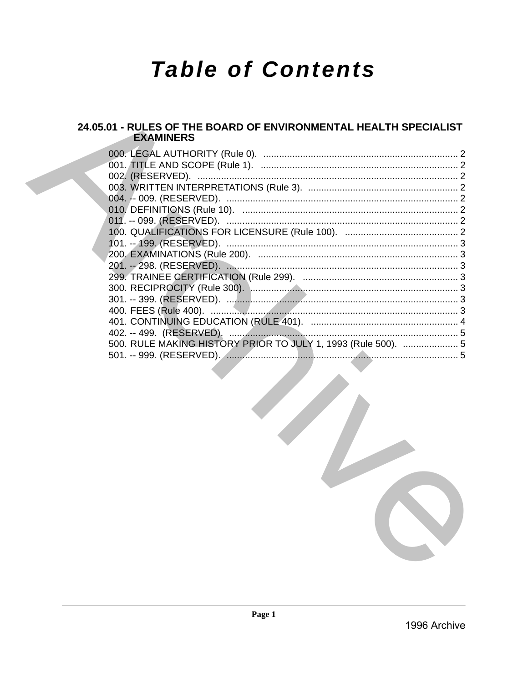# **Table of Contents**

# 24.05.01 - RULES OF THE BOARD OF ENVIRONMENTAL HEALTH SPECIALIST **EXAMINERS**

| 000. LEGAL AUTHORITY (Rule 0).                                |  |
|---------------------------------------------------------------|--|
|                                                               |  |
|                                                               |  |
|                                                               |  |
|                                                               |  |
|                                                               |  |
| 011. -- 099. (RESERVED).                                      |  |
|                                                               |  |
|                                                               |  |
|                                                               |  |
|                                                               |  |
|                                                               |  |
|                                                               |  |
|                                                               |  |
|                                                               |  |
|                                                               |  |
|                                                               |  |
| 500. RULE MAKING HISTORY PRIOR TO JULY 1, 1993 (Rule 500).  5 |  |
|                                                               |  |
|                                                               |  |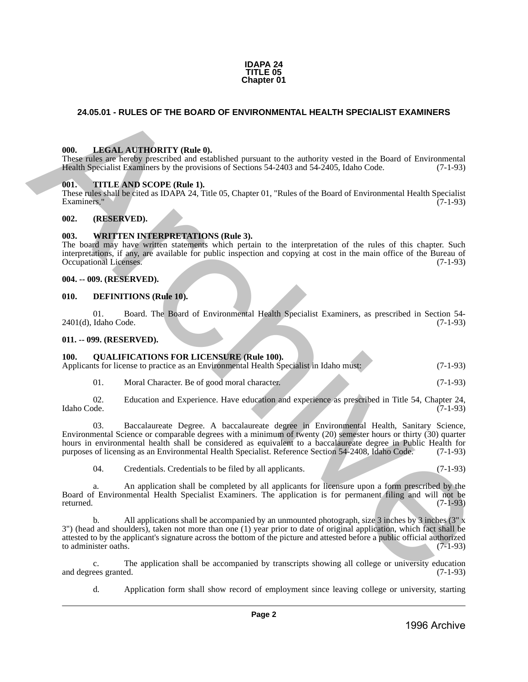#### **IDAPA 24 TITLE 05 Chapter 01**

# <span id="page-1-0"></span>**24.05.01 - RULES OF THE BOARD OF ENVIRONMENTAL HEALTH SPECIALIST EXAMINERS**

# <span id="page-1-1"></span>**000. LEGAL AUTHORITY (Rule 0).**

These rules are hereby prescribed and established pursuant to the authority vested in the Board of Environmental Health Specialist Examiners by the provisions of Sections 54-2403 and 54-2405, Idaho Code. (7-1-93)

# <span id="page-1-2"></span>**001. TITLE AND SCOPE (Rule 1).**

These rules shall be cited as IDAPA 24, Title 05, Chapter 01, "Rules of the Board of Environmental Health Specialist Examiners." (7-1-93)

#### <span id="page-1-3"></span>**002. (RESERVED).**

#### <span id="page-1-4"></span>**003. WRITTEN INTERPRETATIONS (Rule 3).**

The board may have written statements which pertain to the interpretation of the rules of this chapter. Such interpretations, if any, are available for public inspection and copying at cost in the main office of the Bureau of Occupational Licenses.

#### <span id="page-1-5"></span>**004. -- 009. (RESERVED).**

#### <span id="page-1-6"></span>**010. DEFINITIONS (Rule 10).**

01. Board. The Board of Environmental Health Specialist Examiners, as prescribed in Section 54-<br>Idaho Code. (7-1-93)  $2401(d)$ , Idaho Code.

#### <span id="page-1-7"></span>**011. -- 099. (RESERVED).**

# <span id="page-1-8"></span>**100. QUALIFICATIONS FOR LICENSURE (Rule 100).**

| Applicants for license to practice as an Environmental Health Specialist in Idaho must: |  | $(7-1-93)$ |
|-----------------------------------------------------------------------------------------|--|------------|
|                                                                                         |  |            |
|                                                                                         |  |            |
|                                                                                         |  |            |

01. Moral Character. Be of good moral character. (7-1-93)

02. Education and Experience. Have education and experience as prescribed in Title 54, Chapter 24, Idaho Code. (7-1-93) Idaho Code. (7-1-93)

03. Baccalaureate Degree. A baccalaureate degree in Environmental Health, Sanitary Science, Environmental Science or comparable degrees with a minimum of twenty (20) semester hours or thirty (30) quarter hours in environmental health shall be considered as equivalent to a baccalaureate degree in Public Health for purposes of licensing as an Environmental Health Specialist. Reference Section 54-2408, Idaho Code. (7-1-93) **24.05.01 • RULES OF THE BOARD OF ENVIRONMENTAL HEALTH SPECIALIST EXAMINERS<br>
1986.** LATERN ATTITUDENTY (Buther).<br>
The minister in the minister of the anti-stress of the minister of the minister of the Board of Environment

04. Credentials. Credentials to be filed by all applicants. (7-1-93)

a. An application shall be completed by all applicants for licensure upon a form prescribed by the Board of Environmental Health Specialist Examiners. The application is for permanent filing and will not be returned.  $(7-1-93)$ 

b. All applications shall be accompanied by an unmounted photograph, size 3 inches by 3 inches (3" x 3") (head and shoulders), taken not more than one (1) year prior to date of original application, which fact shall be attested to by the applicant's signature across the bottom of the picture and attested before a public official authorized to administer oaths. (7-1-93) to administer oaths.

c. The application shall be accompanied by transcripts showing all college or university education ees granted. (7-1-93) and degrees granted.

d. Application form shall show record of employment since leaving college or university, starting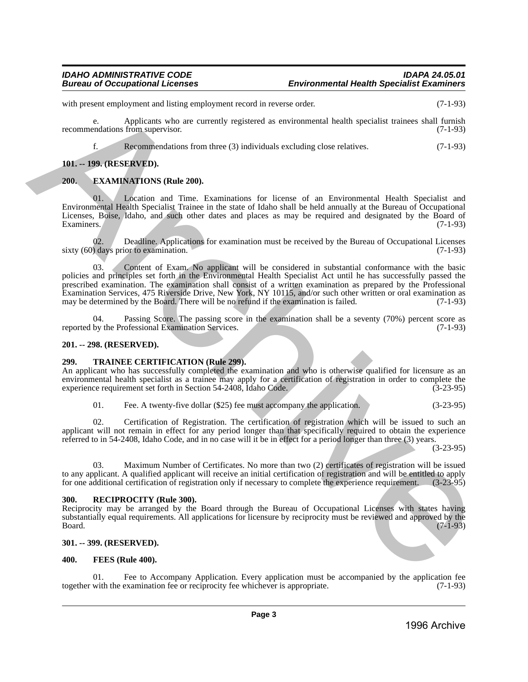with present employment and listing employment record in reverse order. (7-1-93)

e. Applicants who are currently registered as environmental health specialist trainees shall furnish recommendations from supervisor. (7-1-93)

f. Recommendations from three (3) individuals excluding close relatives. (7-1-93)

# <span id="page-2-0"></span>**101. -- 199. (RESERVED).**

# <span id="page-2-1"></span>**200. EXAMINATIONS (Rule 200).**

Location and Time. Examinations for license of an Environmental Health Specialist and Environmental Health Specialist Trainee in the state of Idaho shall be held annually at the Bureau of Occupational Licenses, Boise, Idaho, and such other dates and places as may be required and designated by the Board of Examiners. (7-1-93)

02. Deadline. Applications for examination must be received by the Bureau of Occupational Licenses<br>
(7-1-93) sixty  $(60)$  days prior to examination.

Content of Exam. No applicant will be considered in substantial conformance with the basic policies and principles set forth in the Environmental Health Specialist Act until he has successfully passed the prescribed examination. The examination shall consist of a written examination as prepared by the Professional Examination Services, 475 Riverside Drive, New York, NY 10115, and/or such other written or oral examination as may be determined by the Board. There will be no refund if the examination is failed. (7-1-93) with present employment and three generations have a constraint the serves in the serves and the serves and the serves and the serves and the serves and the serves and the serves and the serves and the serves and the serv

04. Passing Score. The passing score in the examination shall be a seventy (70%) percent score as by the Professional Examination Services. (7-1-93) reported by the Professional Examination Services.

# <span id="page-2-2"></span>**201. -- 298. (RESERVED).**

# <span id="page-2-3"></span>**299. TRAINEE CERTIFICATION (Rule 299).**

An applicant who has successfully completed the examination and who is otherwise qualified for licensure as an environmental health specialist as a trainee may apply for a certification of registration in order to complete the experience requirement set forth in Section 54-2408, Idaho Code. (3-23-95)

| 01. | Fee. A twenty-five dollar (\$25) fee must accompany the application. | $(3-23-95)$ |
|-----|----------------------------------------------------------------------|-------------|
|-----|----------------------------------------------------------------------|-------------|

02. Certification of Registration. The certification of registration which will be issued to such an applicant will not remain in effect for any period longer than that specifically required to obtain the experience referred to in 54-2408, Idaho Code, and in no case will it be in effect for a period longer than three (3) years.

(3-23-95)

03. Maximum Number of Certificates. No more than two (2) certificates of registration will be issued to any applicant. A qualified applicant will receive an initial certification of registration and will be entitled to apply<br>for one additional certification of registration only if necessary to complete the experience requ for one additional certification of registration only if necessary to complete the experience requirement.

# <span id="page-2-4"></span>**300. RECIPROCITY (Rule 300).**

Reciprocity may be arranged by the Board through the Bureau of Occupational Licenses with states having substantially equal requirements. All applications for licensure by reciprocity must be reviewed and approved by the Board. (7-1-93)  $Board.$  (7-1-93)

# <span id="page-2-5"></span>**301. -- 399. (RESERVED).**

# <span id="page-2-6"></span>**400. FEES (Rule 400).**

Fee to Accompany Application. Every application must be accompanied by the application fee examination fee or reciprocity fee whichever is appropriate. (7-1-93) together with the examination fee or reciprocity fee whichever is appropriate.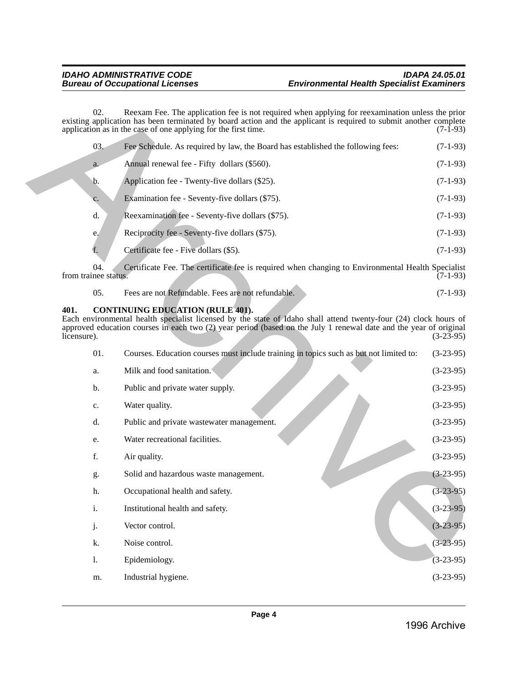|  | 03.            | Fee Schedule. As required by law, the Board has established the following fees:                   |            |  |  |
|--|----------------|---------------------------------------------------------------------------------------------------|------------|--|--|
|  | $a_{\cdot}$    | Annual renewal fee - Fifty dollars (\$560).                                                       | $(7-1-93)$ |  |  |
|  | b.             | Application fee - Twenty-five dollars (\$25).                                                     | $(7-1-93)$ |  |  |
|  | c.             | Examination fee - Seventy-five dollars (\$75).                                                    | $(7-1-93)$ |  |  |
|  | d.             | Reexamination fee - Seventy-five dollars (\$75).                                                  | $(7-1-93)$ |  |  |
|  | e <sub>1</sub> | Reciprocity fee - Seventy-five dollars (\$75).                                                    | $(7-1-93)$ |  |  |
|  | f.             | Certificate fee - Five dollars (\$5).                                                             | $(7-1-93)$ |  |  |
|  | 04.            | Certificate Fee. The certificate fee is required when changing to Environmental Health Specialist |            |  |  |

|  | Fees are not Refundable. Fees are not refundable. | $(7-1-93)$ |
|--|---------------------------------------------------|------------|
|--|---------------------------------------------------|------------|

# <span id="page-3-0"></span>**401. CONTINUING EDUCATION (RULE 401).**

|                     | 02.                         | Reexam Fee. The application fee is not required when applying for reexamination unless the prior<br>existing application has been terminated by board action and the applicant is required to submit another complete<br>application as in the case of one applying for the first time. | $(7-1-93)$  |
|---------------------|-----------------------------|-----------------------------------------------------------------------------------------------------------------------------------------------------------------------------------------------------------------------------------------------------------------------------------------|-------------|
|                     | 03.                         | Fee Schedule. As required by law, the Board has established the following fees:                                                                                                                                                                                                         | $(7-1-93)$  |
|                     | a.                          | Annual renewal fee - Fifty dollars (\$560).                                                                                                                                                                                                                                             | $(7-1-93)$  |
|                     | b.                          | Application fee - Twenty-five dollars (\$25).                                                                                                                                                                                                                                           | $(7-1-93)$  |
|                     | c.                          | Examination fee - Seventy-five dollars (\$75).                                                                                                                                                                                                                                          | $(7-1-93)$  |
|                     | d.                          | Reexamination fee - Seventy-five dollars (\$75).                                                                                                                                                                                                                                        | $(7-1-93)$  |
|                     | e.                          | Reciprocity fee - Seventy-five dollars (\$75).                                                                                                                                                                                                                                          | $(7-1-93)$  |
|                     | f.                          | Certificate fee - Five dollars (\$5).                                                                                                                                                                                                                                                   | $(7-1-93)$  |
|                     | 04.<br>from trainee status. | Certificate Fee. The certificate fee is required when changing to Environmental Health Specialist                                                                                                                                                                                       | $(7-1-93)$  |
|                     | 05.                         | Fees are not Refundable. Fees are not refundable.                                                                                                                                                                                                                                       | $(7-1-93)$  |
| 401.<br>licensure). |                             | <b>CONTINUING EDUCATION (RULE 401).</b><br>Each environmental health specialist licensed by the state of Idaho shall attend twenty-four (24) clock hours of<br>approved education courses in each two (2) year period (based on the July 1 renewal date and the year of original        | $(3-23-95)$ |
|                     | 01.                         | Courses. Education courses must include training in topics such as but not limited to:                                                                                                                                                                                                  | $(3-23-95)$ |
|                     | a.                          | Milk and food sanitation.                                                                                                                                                                                                                                                               | $(3-23-95)$ |
|                     | b.                          | Public and private water supply.                                                                                                                                                                                                                                                        | $(3-23-95)$ |
|                     | c.                          | Water quality.                                                                                                                                                                                                                                                                          | $(3-23-95)$ |
|                     | d.                          | Public and private wastewater management.                                                                                                                                                                                                                                               | $(3-23-95)$ |
|                     | e.                          | Water recreational facilities.                                                                                                                                                                                                                                                          | $(3-23-95)$ |
|                     | f.                          | Air quality.                                                                                                                                                                                                                                                                            | $(3-23-95)$ |
|                     | g.                          | Solid and hazardous waste management.                                                                                                                                                                                                                                                   | $(3-23-95)$ |
|                     | h.                          | Occupational health and safety.                                                                                                                                                                                                                                                         | $(3-23-95)$ |
|                     | $\mathbf i.$                | Institutional health and safety.                                                                                                                                                                                                                                                        | $(3-23-95)$ |
|                     | j.                          | Vector control.                                                                                                                                                                                                                                                                         | $(3-23-95)$ |
|                     | k.                          | Noise control.                                                                                                                                                                                                                                                                          | $(3-23-95)$ |
|                     | 1.                          | Epidemiology.                                                                                                                                                                                                                                                                           | $(3-23-95)$ |
|                     | m.                          | Industrial hygiene.                                                                                                                                                                                                                                                                     | $(3-23-95)$ |
|                     |                             |                                                                                                                                                                                                                                                                                         |             |